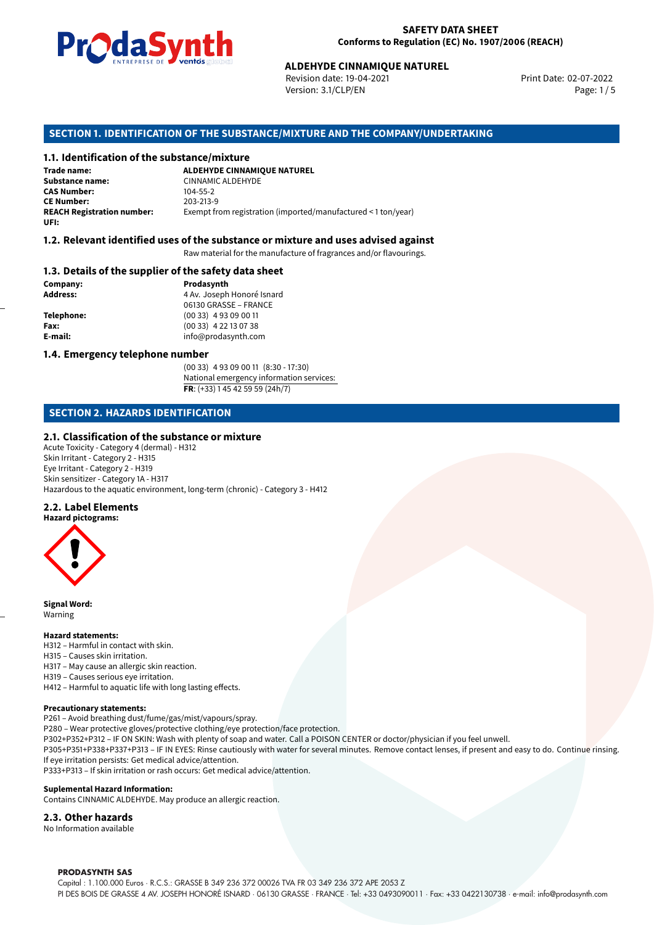

Revision date: 19-04-2021 Version: 3.1/CLP/EN Page: 1 / 5

Print Date: 02-07-2022

# **ALDEHYDE CINNAMIQUE NATUREL<br>
Revision date: 19-04-2021<br>
Version: 3.1/CLP/EN<br>
OF THE SUBSTANCE/MIXTURE AND THE COMPANY/UNDE<br>
tance/mixture<br>
ALDEHYDE CINNAMIQUE NATUREL SECTION 1. IDENTIFICATION OF THE SUBSTANCE/MIXTURE AND THE COMPANY/UNDERTAKING**

#### **1.1. Identification of the substance/mixture**

**Trade name: Substance name:** CINNAMIC ALDEHYDE<br> **CAS Number:** 104-55-2 **CAS Number: CE Number:** 203-213-9<br>**REACH Registration number:** Exempt fr Exempt from registration (imported/manufactured < 1 ton/year) **UFI:**

#### **1.2. Relevant identified uses of the substance or mixture and uses advised against**

Raw material for the manufacture of fragrances and/or flavourings.

#### **1.3. Details of the supplier of the safety data sheet**

**Company: Prodasynth Prodasynth Address:** 4 Av. Joseph **Address:** 4 Av. Joseph Honoré Isnard 06130 GRASSE – FRANCE **Telephone:** (00 33) 4 93 09 00 11 **Fax:** (00 33) 4 22 13 07 38 **E-mail:** info@prodasynth.com

#### **1.4. Emergency telephone number**

(00 33) 4 93 09 00 11 (8:30 - 17:30) National emergency information services: **FR**: (+33) 1 45 42 59 59 (24h/7)

#### **SECTION 2. HAZARDS IDENTIFICATION**

#### **2.1. Classification of the substance or mixture**

Acute Toxicity - Category 4 (dermal) - H312 Skin Irritant - Category 2 - H315 Eye Irritant - Category 2 - H319 Skin sensitizer - Category 1A - H317 Hazardous to the aquatic environment, long-term (chronic) - Category 3 - H412

#### **2.2. Label Elements**



**Signal Word:** Warning

#### **Hazard statements:**

- H312 Harmful in contact with skin.
- H315 Causes skin irritation.
- H317 May cause an allergic skin reaction.
- H319 Causes serious eye irritation.
- H412 Harmful to aquatic life with long lasting effects.

#### **Precautionary statements:**

P261 – Avoid breathing dust/fume/gas/mist/vapours/spray.

P280 – Wear protective gloves/protective clothing/eye protection/face protection.

P302+P352+P312 – IF ON SKIN: Wash with plenty of soap and water. Call a POISON CENTER or doctor/physician if you feel unwell.

P305+P351+P338+P337+P313 – IF IN EYES: Rinse cautiously with water for several minutes. Remove contact lenses, if present and easy to do. Continue rinsing. If eye irritation persists: Get medical advice/attention.

P333+P313 – If skin irritation or rash occurs: Get medical advice/attention.

#### **Suplemental Hazard Information:**

Contains CINNAMIC ALDEHYDE. May produce an allergic reaction.

#### **2.3. Other hazards**

No Information available

#### **PRODASYNTH SAS**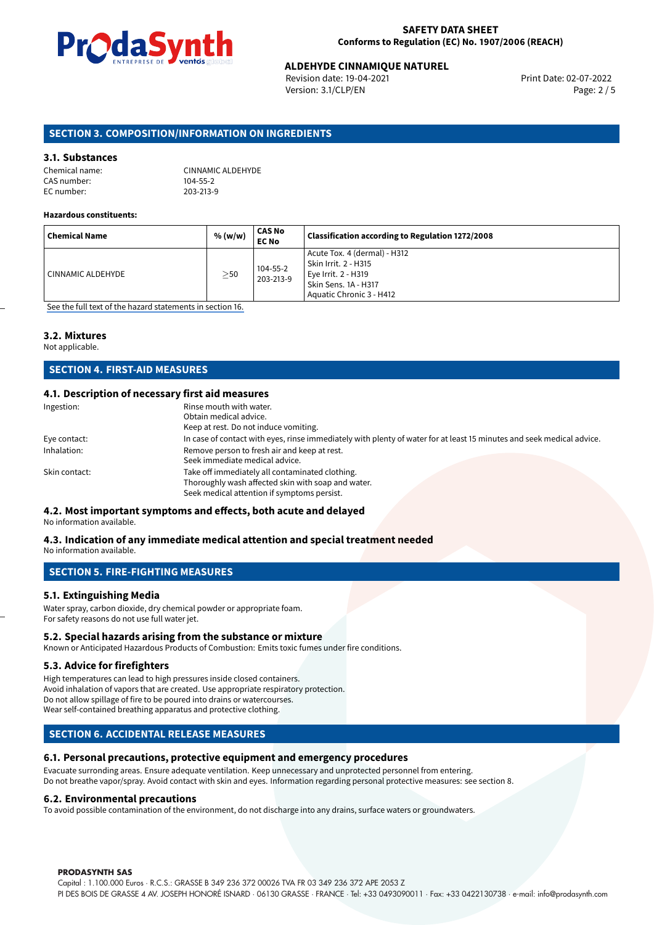

#### **SAFETY DATA SHEET Conforms to Regulation (EC) No. 1907/2006 (REACH)**

## **ALDEHYDE CINNAMIQUE NATUREL<br>
Revision date: 19-04-2021** Print Date: 02-07-2022

Revision date: 19-04-2021 Version: 3.1/CLP/EN Page: 2 / 5

#### **SECTION 3. COMPOSITION/INFORMATION ON INGREDIENTS**

#### **3.1. Substances**

| Chemical name: |  |
|----------------|--|
| CAS number:    |  |
| EC number:     |  |

CINNAMIC ALDEHYDE  $104 - 55 - 2$ 203-213-9

#### **Hazardous constituents:**

| <b>Chemical Name</b> | % (w/w)   | <b>CAS No</b><br><b>EC No</b> | Classification according to Regulation 1272/2008                                                                                |
|----------------------|-----------|-------------------------------|---------------------------------------------------------------------------------------------------------------------------------|
| CINNAMIC ALDEHYDE    | $\geq$ 50 | 104-55-2<br>203-213-9         | Acute Tox. 4 (dermal) - H312<br>Skin Irrit. 2 - H315<br>Eye Irrit. 2 - H319<br>Skin Sens. 1A - H317<br>Aquatic Chronic 3 - H412 |

[See the full text of the hazard statements in section 16.](#page-4-0)

#### **3.2. Mixtures**

Not applicable.

#### **SECTION 4. FIRST-AID MEASURES**

#### **4.1. Description of necessary first aid measures**

| Ingestion:    | Rinse mouth with water.                                                                                                                              |
|---------------|------------------------------------------------------------------------------------------------------------------------------------------------------|
|               | Obtain medical advice.                                                                                                                               |
|               | Keep at rest. Do not induce vomiting.                                                                                                                |
| Eye contact:  | In case of contact with eyes, rinse immediately with plenty of water for at least 15 minutes and seek medical advice.                                |
| Inhalation:   | Remove person to fresh air and keep at rest.<br>Seek immediate medical advice.                                                                       |
| Skin contact: | Take off immediately all contaminated clothing.<br>Thoroughly wash affected skin with soap and water.<br>Seek medical attention if symptoms persist. |

#### **4.2. Most important symptoms and effects, both acute and delayed**

No information available.

#### **4.3. Indication of any immediate medical attention and special treatment needed** No information available.

**SECTION 5. FIRE-FIGHTING MEASURES**

#### **5.1. Extinguishing Media**

Water spray, carbon dioxide, dry chemical powder or appropriate foam. For safety reasons do not use full water jet.

#### **5.2. Special hazards arising from the substance or mixture**

Known or Anticipated Hazardous Products of Combustion: Emits toxic fumes under fire conditions.

#### **5.3. Advice for firefighters**

High temperatures can lead to high pressures inside closed containers. Avoid inhalation of vapors that are created. Use appropriate respiratory protection. Do not allow spillage of fire to be poured into drains or watercourses. Wear self-contained breathing apparatus and protective clothing.

#### **SECTION 6. ACCIDENTAL RELEASE MEASURES**

#### **6.1. Personal precautions, protective equipment and emergency procedures**

Evacuate surronding areas. Ensure adequate ventilation. Keep unnecessary and unprotected personnel from entering. Do not breathe vapor/spray. Avoid contact with skin and eyes. Information regarding personal protective measures: see section 8.

#### **6.2. Environmental precautions**

To avoid possible contamination of the environment, do not discharge into any drains, surface waters or groundwaters.

#### **PRODASYNTH SAS**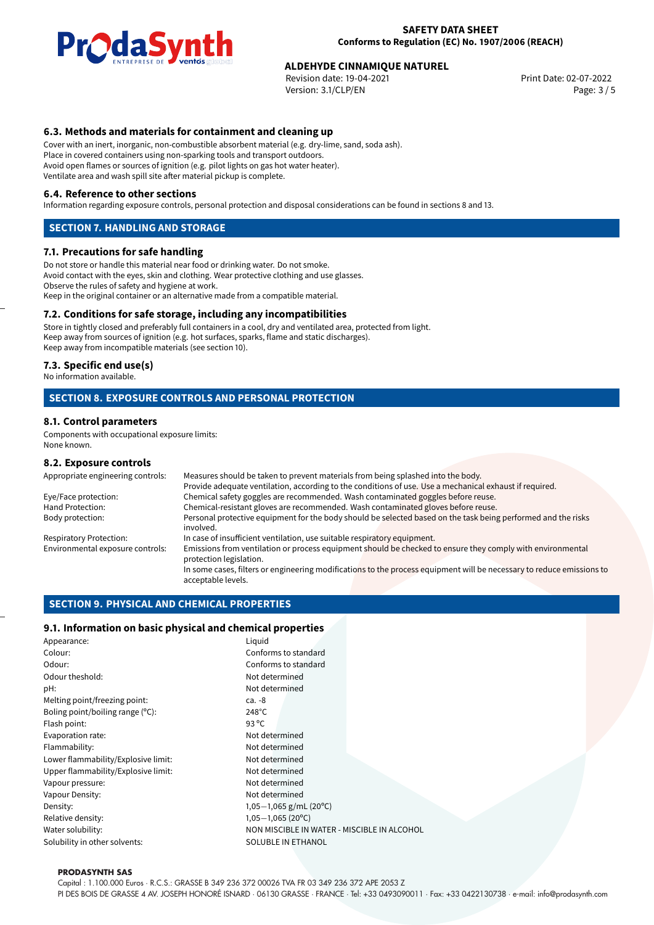

## **ALDEHYDE CINNAMIQUE NATUREL<br>
Revision date: 19-04-2021** Print Date: 02-07-2022

Revision date: 19-04-2021 Version: 3.1/CLP/EN Page: 3 / 5

#### **6.3. Methods and materials for containment and cleaning up**

Cover with an inert, inorganic, non-combustible absorbent material (e.g. dry-lime, sand, soda ash). Place in covered containers using non-sparking tools and transport outdoors. Avoid open flames or sources of ignition (e.g. pilot lights on gas hot water heater). Ventilate area and wash spill site after material pickup is complete.

#### **6.4. Reference to other sections**

Information regarding exposure controls, personal protection and disposal considerations can be found in sections 8 and 13.

#### **SECTION 7. HANDLING AND STORAGE**

#### **7.1. Precautions for safe handling**

Do not store or handle this material near food or drinking water. Do not smoke. Avoid contact with the eyes, skin and clothing. Wear protective clothing and use glasses. Observe the rules of safety and hygiene at work. Keep in the original container or an alternative made from a compatible material.

#### **7.2. Conditions for safe storage, including any incompatibilities**

Store in tightly closed and preferably full containers in a cool, dry and ventilated area, protected from light. Keep away from sources of ignition (e.g. hot surfaces, sparks, flame and static discharges). Keep away from incompatible materials (see section 10).

#### **7.3. Specific end use(s)**

No information available.

#### **SECTION 8. EXPOSURE CONTROLS AND PERSONAL PROTECTION**

#### **8.1. Control parameters**

Components with occupational exposure limits: None known.

#### **8.2. Exposure controls**

| Appropriate engineering controls: | Measures should be taken to prevent materials from being splashed into the body.                                                            |  |  |  |  |
|-----------------------------------|---------------------------------------------------------------------------------------------------------------------------------------------|--|--|--|--|
|                                   | Provide adequate ventilation, according to the conditions of use. Use a mechanical exhaust if required.                                     |  |  |  |  |
| Eye/Face protection:              | Chemical safety goggles are recommended. Wash contaminated goggles before reuse.                                                            |  |  |  |  |
| Hand Protection:                  | Chemical-resistant gloves are recommended. Wash contaminated gloves before reuse.                                                           |  |  |  |  |
| Body protection:                  | Personal protective equipment for the body should be selected based on the task being performed and the risks<br>involved.                  |  |  |  |  |
| Respiratory Protection:           | In case of insufficient ventilation, use suitable respiratory equipment.                                                                    |  |  |  |  |
| Environmental exposure controls:  | Emissions from ventilation or process equipment should be checked to ensure they comply with environmental<br>protection legislation.       |  |  |  |  |
|                                   | In some cases, filters or engineering modifications to the process equipment will be necessary to reduce emissions to<br>acceptable levels. |  |  |  |  |
|                                   |                                                                                                                                             |  |  |  |  |

#### **SECTION 9. PHYSICAL AND CHEMICAL PROPERTIES**

#### **9.1. Information on basic physical and chemical properties**

| Appearance:                         | Liquid                                      |
|-------------------------------------|---------------------------------------------|
| Colour:                             | Conforms to standard                        |
| Odour:                              | Conforms to standard                        |
| Odour theshold:                     | Not determined                              |
| pH:                                 | Not determined                              |
| Melting point/freezing point:       | ca. -8                                      |
| Boling point/boiling range (°C):    | $248^{\circ}$ C                             |
| Flash point:                        | 93 $^{\circ}$ C                             |
| Evaporation rate:                   | Not determined                              |
| Flammability:                       | Not determined                              |
| Lower flammability/Explosive limit: | Not determined                              |
| Upper flammability/Explosive limit: | Not determined                              |
| Vapour pressure:                    | Not determined                              |
| Vapour Density:                     | Not determined                              |
| Density:                            | $1,05-1,065$ g/mL (20 <sup>o</sup> C)       |
| Relative density:                   | $1,05-1,065(20^{\circ}C)$                   |
| Water solubility:                   | NON MISCIBLE IN WATER - MISCIBLE IN ALCOHOL |
| Solubility in other solvents:       | SOLUBLE IN ETHANOL                          |

#### **PRODASYNTH SAS**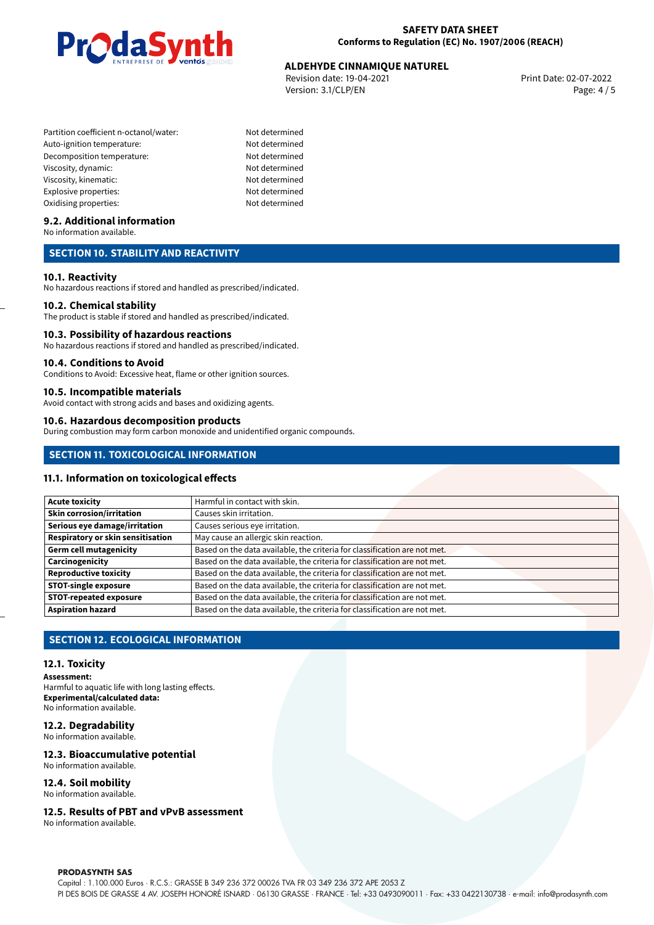

## **ALDEHYDE CINNAMIQUE NATUREL<br>
Revision date: 19-04-2021** Print Date: 02-07-2022

Revision date: 19-04-2021 Version: 3.1/CLP/EN Page: 4 / 5

- Partition coefficient n-octanol/water: Not determined Auto-ignition temperature: Not determined Decomposition temperature: Not determined Viscosity, dynamic: Not determined Viscosity, kinematic: Not determined Explosive properties: Not determined Oxidising properties: Not determined
	-

#### **9.2. Additional information**

No information available.

#### **SECTION 10. STABILITY AND REACTIVITY**

#### **10.1. Reactivity**

No hazardous reactions if stored and handled as prescribed/indicated.

#### **10.2. Chemical stability**

The product is stable if stored and handled as prescribed/indicated.

#### **10.3. Possibility of hazardous reactions**

No hazardous reactions if stored and handled as prescribed/indicated.

#### **10.4. Conditions to Avoid**

Conditions to Avoid: Excessive heat, flame or other ignition sources.

#### **10.5. Incompatible materials**

Avoid contact with strong acids and bases and oxidizing agents.

#### **10.6. Hazardous decomposition products**

During combustion may form carbon monoxide and unidentified organic compounds.

#### **SECTION 11. TOXICOLOGICAL INFORMATION**

#### **11.1. Information on toxicological effects**

| <b>Acute toxicity</b>             | Harmful in contact with skin.                                             |  |  |
|-----------------------------------|---------------------------------------------------------------------------|--|--|
| <b>Skin corrosion/irritation</b>  | Causes skin irritation.                                                   |  |  |
| Serious eye damage/irritation     | Causes serious eye irritation.                                            |  |  |
| Respiratory or skin sensitisation | May cause an allergic skin reaction.                                      |  |  |
| <b>Germ cell mutagenicity</b>     | Based on the data available, the criteria for classification are not met. |  |  |
| Carcinogenicity                   | Based on the data available, the criteria for classification are not met. |  |  |
| <b>Reproductive toxicity</b>      | Based on the data available, the criteria for classification are not met. |  |  |
| <b>STOT-single exposure</b>       | Based on the data available, the criteria for classification are not met. |  |  |
| <b>STOT-repeated exposure</b>     | Based on the data available, the criteria for classification are not met. |  |  |
| <b>Aspiration hazard</b>          | Based on the data available, the criteria for classification are not met. |  |  |

#### **SECTION 12. ECOLOGICAL INFORMATION**

#### **12.1. Toxicity**

**Assessment:**

Harmful to aquatic life with long lasting effects. **Experimental/calculated data:** No information available.

#### **12.2. Degradability**

No information available.

#### **12.3. Bioaccumulative potential**

No information available.

#### **12.4. Soil mobility**

No information available.

#### **12.5. Results of PBT and vPvB assessment**

No information available.

#### **PRODASYNTH SAS**